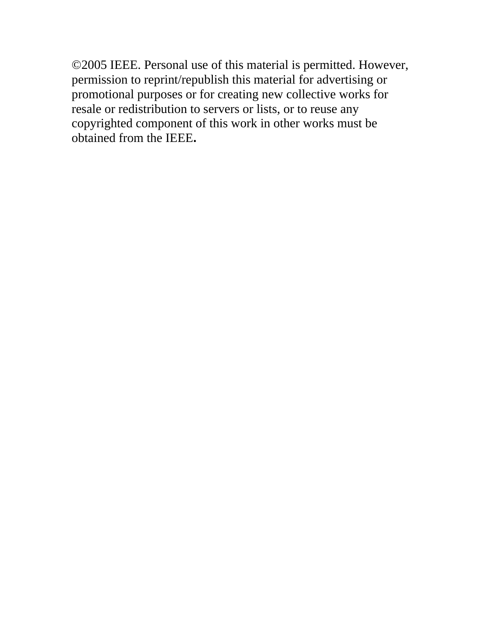©2005 IEEE. Personal use of this material is permitted. However, permission to reprint/republish this material for advertising or promotional purposes or for creating new collective works for resale or redistribution to servers or lists, or to reuse any copyrighted component of this work in other works must be obtained from the IEEE**.**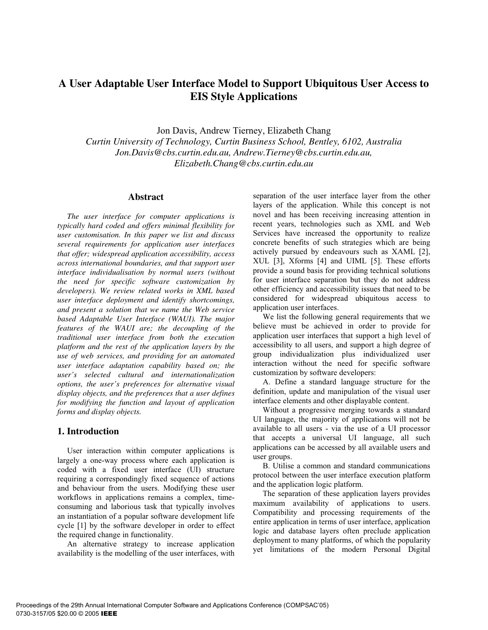# **A User Adaptable User Interface Model to Support Ubiquitous User Access to EIS Style Applications**

Jon Davis, Andrew Tierney, Elizabeth Chang *Curtin University of Technology, Curtin Business School, Bentley, 6102, Australia Jon.Davis@cbs.curtin.edu.au, Andrew.Tierney@cbs.curtin.edu.au, Elizabeth.Chang@cbs.curtin.edu.au*

#### **Abstract**

*The user interface for computer applications is typically hard coded and offers minimal flexibility for user customisation. In this paper we list and discuss several requirements for application user interfaces that offer; widespread application accessibility, access across international boundaries, and that support user interface individualisation by normal users (without the need for specific software customization by developers). We review related works in XML based user interface deployment and identify shortcomings, and present a solution that we name the Web service based Adaptable User Interface (WAUI). The major features of the WAUI are; the decoupling of the traditional user interface from both the execution platform and the rest of the application layers by the use of web services, and providing for an automated user interface adaptation capability based on; the user's selected cultural and internationalization options, the user's preferences for alternative visual display objects, and the preferences that a user defines for modifying the function and layout of application forms and display objects.*

#### **1. Introduction**

User interaction within computer applications is largely a one-way process where each application is coded with a fixed user interface (UI) structure requiring a correspondingly fixed sequence of actions and behaviour from the users. Modifying these user workflows in applications remains a complex, timeconsuming and laborious task that typically involves an instantiation of a popular software development life cycle [1] by the software developer in order to effect the required change in functionality.

An alternative strategy to increase application availability is the modelling of the user interfaces, with

separation of the user interface layer from the other layers of the application. While this concept is not novel and has been receiving increasing attention in recent years, technologies such as XML and Web Services have increased the opportunity to realize concrete benefits of such strategies which are being actively pursued by endeavours such as XAML [2], XUL [3], Xforms [4] and UIML [5]. These efforts provide a sound basis for providing technical solutions for user interface separation but they do not address other efficiency and accessibility issues that need to be considered for widespread ubiquitous access to application user interfaces.

We list the following general requirements that we believe must be achieved in order to provide for application user interfaces that support a high level of accessibility to all users, and support a high degree of group individualization plus individualized user interaction without the need for specific software customization by software developers:

A. Define a standard language structure for the definition, update and manipulation of the visual user interface elements and other displayable content.

Without a progressive merging towards a standard UI language, the majority of applications will not be available to all users - via the use of a UI processor that accepts a universal UI language, all such applications can be accessed by all available users and user groups.

B. Utilise a common and standard communications protocol between the user interface execution platform and the application logic platform.

The separation of these application layers provides maximum availability of applications to users. Compatibility and processing requirements of the entire application in terms of user interface, application logic and database layers often preclude application deployment to many platforms, of which the popularity yet limitations of the modern Personal Digital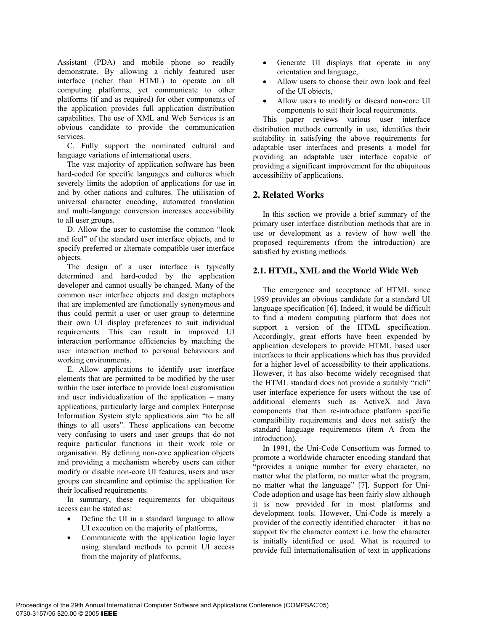Assistant (PDA) and mobile phone so readily demonstrate. By allowing a richly featured user interface (richer than HTML) to operate on all computing platforms, yet communicate to other platforms (if and as required) for other components of the application provides full application distribution capabilities. The use of XML and Web Services is an obvious candidate to provide the communication services.

C. Fully support the nominated cultural and language variations of international users.

The vast majority of application software has been hard-coded for specific languages and cultures which severely limits the adoption of applications for use in and by other nations and cultures. The utilisation of universal character encoding, automated translation and multi-language conversion increases accessibility to all user groups.

D. Allow the user to customise the common "look and feel" of the standard user interface objects, and to specify preferred or alternate compatible user interface objects.

The design of a user interface is typically determined and hard-coded by the application developer and cannot usually be changed. Many of the common user interface objects and design metaphors that are implemented are functionally synonymous and thus could permit a user or user group to determine their own UI display preferences to suit individual requirements. This can result in improved UI interaction performance efficiencies by matching the user interaction method to personal behaviours and working environments.

E. Allow applications to identify user interface elements that are permitted to be modified by the user within the user interface to provide local customisation and user individualization of the application – many applications, particularly large and complex Enterprise Information System style applications aim "to be all things to all users". These applications can become very confusing to users and user groups that do not require particular functions in their work role or organisation. By defining non-core application objects and providing a mechanism whereby users can either modify or disable non-core UI features, users and user groups can streamline and optimise the application for their localised requirements.

In summary, these requirements for ubiquitous access can be stated as:

- Define the UI in a standard language to allow UI execution on the majority of platforms,
- Communicate with the application logic layer using standard methods to permit UI access from the majority of platforms,
- Generate UI displays that operate in any orientation and language,
- Allow users to choose their own look and feel of the UI objects,
- x Allow users to modify or discard non-core UI components to suit their local requirements.

This paper reviews various user interface distribution methods currently in use, identifies their suitability in satisfying the above requirements for adaptable user interfaces and presents a model for providing an adaptable user interface capable of providing a significant improvement for the ubiquitous accessibility of applications.

## **2. Related Works**

In this section we provide a brief summary of the primary user interface distribution methods that are in use or development as a review of how well the proposed requirements (from the introduction) are satisfied by existing methods.

### **2.1. HTML, XML and the World Wide Web**

The emergence and acceptance of HTML since 1989 provides an obvious candidate for a standard UI language specification [6]. Indeed, it would be difficult to find a modern computing platform that does not support a version of the HTML specification. Accordingly, great efforts have been expended by application developers to provide HTML based user interfaces to their applications which has thus provided for a higher level of accessibility to their applications. However, it has also become widely recognised that the HTML standard does not provide a suitably "rich" user interface experience for users without the use of additional elements such as ActiveX and Java components that then re-introduce platform specific compatibility requirements and does not satisfy the standard language requirements (item A from the introduction).

In 1991, the Uni-Code Consortium was formed to promote a worldwide character encoding standard that "provides a unique number for every character, no matter what the platform, no matter what the program, no matter what the language" [7]. Support for Uni-Code adoption and usage has been fairly slow although it is now provided for in most platforms and development tools. However, Uni-Code is merely a provider of the correctly identified character – it has no support for the character context i.e. how the character is initially identified or used. What is required to provide full internationalisation of text in applications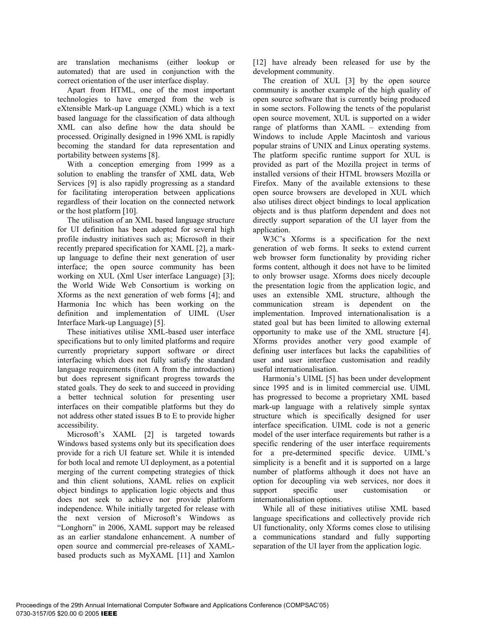are translation mechanisms (either lookup or automated) that are used in conjunction with the correct orientation of the user interface display.

Apart from HTML, one of the most important technologies to have emerged from the web is eXtensible Mark-up Language (XML) which is a text based language for the classification of data although XML can also define how the data should be processed. Originally designed in 1996 XML is rapidly becoming the standard for data representation and portability between systems [8].

With a conception emerging from 1999 as a solution to enabling the transfer of XML data, Web Services [9] is also rapidly progressing as a standard for facilitating interoperation between applications regardless of their location on the connected network or the host platform [10].

The utilisation of an XML based language structure for UI definition has been adopted for several high profile industry initiatives such as; Microsoft in their recently prepared specification for XAML [2], a markup language to define their next generation of user interface; the open source community has been working on XUL (Xml User interface Language) [3]; the World Wide Web Consortium is working on Xforms as the next generation of web forms [4]; and Harmonia Inc which has been working on the definition and implementation of UIML (User Interface Mark-up Language) [5].

These initiatives utilise XML-based user interface specifications but to only limited platforms and require currently proprietary support software or direct interfacing which does not fully satisfy the standard language requirements (item A from the introduction) but does represent significant progress towards the stated goals. They do seek to and succeed in providing a better technical solution for presenting user interfaces on their compatible platforms but they do not address other stated issues B to E to provide higher accessibility.

Microsoft's XAML [2] is targeted towards Windows based systems only but its specification does provide for a rich UI feature set. While it is intended for both local and remote UI deployment, as a potential merging of the current competing strategies of thick and thin client solutions, XAML relies on explicit object bindings to application logic objects and thus does not seek to achieve nor provide platform independence. While initially targeted for release with the next version of Microsoft's Windows as "Longhorn" in 2006, XAML support may be released as an earlier standalone enhancement. A number of open source and commercial pre-releases of XAMLbased products such as MyXAML [11] and Xamlon [12] have already been released for use by the development community.

The creation of XUL [3] by the open source community is another example of the high quality of open source software that is currently being produced in some sectors. Following the tenets of the popularist open source movement, XUL is supported on a wider range of platforms than XAML – extending from Windows to include Apple Macintosh and various popular strains of UNIX and Linux operating systems. The platform specific runtime support for XUL is provided as part of the Mozilla project in terms of installed versions of their HTML browsers Mozilla or Firefox. Many of the available extensions to these open source browsers are developed in XUL which also utilises direct object bindings to local application objects and is thus platform dependent and does not directly support separation of the UI layer from the application.

W3C's Xforms is a specification for the next generation of web forms. It seeks to extend current web browser form functionality by providing richer forms content, although it does not have to be limited to only browser usage. Xforms does nicely decouple the presentation logic from the application logic, and uses an extensible XML structure, although the communication stream is dependent on the implementation. Improved internationalisation is a stated goal but has been limited to allowing external opportunity to make use of the XML structure [4]. Xforms provides another very good example of defining user interfaces but lacks the capabilities of user and user interface customisation and readily useful internationalisation.

Harmonia's UIML [5] has been under development since 1995 and is in limited commercial use. UIML has progressed to become a proprietary XML based mark-up language with a relatively simple syntax structure which is specifically designed for user interface specification. UIML code is not a generic model of the user interface requirements but rather is a specific rendering of the user interface requirements for a pre-determined specific device. UIML's simplicity is a benefit and it is supported on a large number of platforms although it does not have an option for decoupling via web services, nor does it support specific user customisation or internationalisation options.

While all of these initiatives utilise XML based language specifications and collectively provide rich UI functionality, only Xforms comes close to utilising a communications standard and fully supporting separation of the UI layer from the application logic.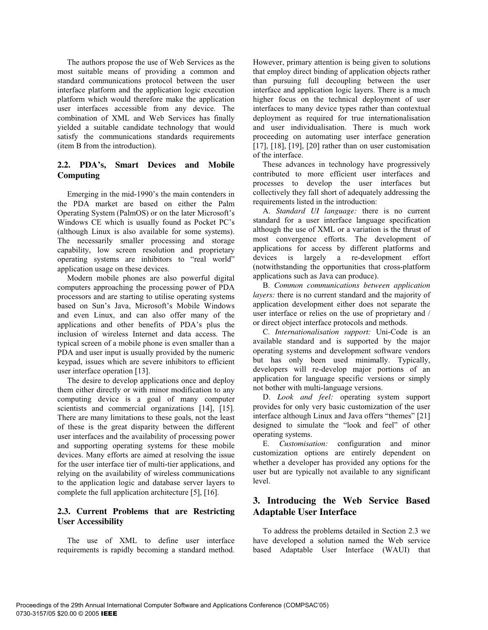The authors propose the use of Web Services as the most suitable means of providing a common and standard communications protocol between the user interface platform and the application logic execution platform which would therefore make the application user interfaces accessible from any device. The combination of XML and Web Services has finally yielded a suitable candidate technology that would satisfy the communications standards requirements (item B from the introduction).

### **2.2. PDA's, Smart Devices and Mobile Computing**

Emerging in the mid-1990's the main contenders in the PDA market are based on either the Palm Operating System (PalmOS) or on the later Microsoft's Windows CE which is usually found as Pocket PC's (although Linux is also available for some systems). The necessarily smaller processing and storage capability, low screen resolution and proprietary operating systems are inhibitors to "real world" application usage on these devices.

Modern mobile phones are also powerful digital computers approaching the processing power of PDA processors and are starting to utilise operating systems based on Sun's Java, Microsoft's Mobile Windows and even Linux, and can also offer many of the applications and other benefits of PDA's plus the inclusion of wireless Internet and data access. The typical screen of a mobile phone is even smaller than a PDA and user input is usually provided by the numeric keypad, issues which are severe inhibitors to efficient user interface operation [13].

The desire to develop applications once and deploy them either directly or with minor modification to any computing device is a goal of many computer scientists and commercial organizations [14], [15]. There are many limitations to these goals, not the least of these is the great disparity between the different user interfaces and the availability of processing power and supporting operating systems for these mobile devices. Many efforts are aimed at resolving the issue for the user interface tier of multi-tier applications, and relying on the availability of wireless communications to the application logic and database server layers to complete the full application architecture [5], [16].

### **2.3. Current Problems that are Restricting User Accessibility**

The use of XML to define user interface requirements is rapidly becoming a standard method. However, primary attention is being given to solutions that employ direct binding of application objects rather than pursuing full decoupling between the user interface and application logic layers. There is a much higher focus on the technical deployment of user interfaces to many device types rather than contextual deployment as required for true internationalisation and user individualisation. There is much work proceeding on automating user interface generation [17], [18], [19], [20] rather than on user customisation of the interface.

These advances in technology have progressively contributed to more efficient user interfaces and processes to develop the user interfaces but collectively they fall short of adequately addressing the requirements listed in the introduction:

A. *Standard UI language:* there is no current standard for a user interface language specification although the use of XML or a variation is the thrust of most convergence efforts. The development of applications for access by different platforms and devices is largely a re-development effort (notwithstanding the opportunities that cross-platform applications such as Java can produce).

B. *Common communications between application layers:* there is no current standard and the majority of application development either does not separate the user interface or relies on the use of proprietary and / or direct object interface protocols and methods.

C. *Internationalisation support:* Uni-Code is an available standard and is supported by the major operating systems and development software vendors but has only been used minimally. Typically, developers will re-develop major portions of an application for language specific versions or simply not bother with multi-language versions.

D. *Look and feel:* operating system support provides for only very basic customization of the user interface although Linux and Java offers "themes" [21] designed to simulate the "look and feel" of other operating systems.

E. *Customisation:* configuration and minor customization options are entirely dependent on whether a developer has provided any options for the user but are typically not available to any significant level.

## **3. Introducing the Web Service Based Adaptable User Interface**

To address the problems detailed in Section 2.3 we have developed a solution named the Web service based Adaptable User Interface (WAUI) that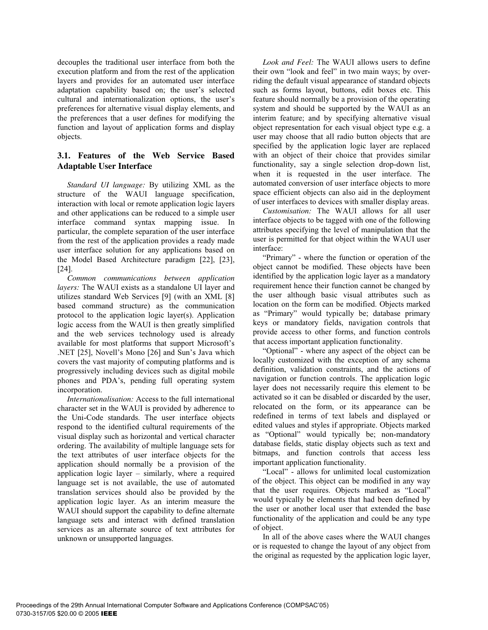decouples the traditional user interface from both the execution platform and from the rest of the application layers and provides for an automated user interface adaptation capability based on; the user's selected cultural and internationalization options, the user's preferences for alternative visual display elements, and the preferences that a user defines for modifying the function and layout of application forms and display objects.

### **3.1. Features of the Web Service Based Adaptable User Interface**

*Standard UI language:* By utilizing XML as the structure of the WAUI language specification, interaction with local or remote application logic layers and other applications can be reduced to a simple user interface command syntax mapping issue. In particular, the complete separation of the user interface from the rest of the application provides a ready made user interface solution for any applications based on the Model Based Architecture paradigm [22], [23], [24].

*Common communications between application layers:* The WAUI exists as a standalone UI layer and utilizes standard Web Services [9] (with an XML [8] based command structure) as the communication protocol to the application logic layer(s). Application logic access from the WAUI is then greatly simplified and the web services technology used is already available for most platforms that support Microsoft's .NET [25], Novell's Mono [26] and Sun's Java which covers the vast majority of computing platforms and is progressively including devices such as digital mobile phones and PDA's, pending full operating system incorporation.

*Internationalisation:* Access to the full international character set in the WAUI is provided by adherence to the Uni-Code standards. The user interface objects respond to the identified cultural requirements of the visual display such as horizontal and vertical character ordering. The availability of multiple language sets for the text attributes of user interface objects for the application should normally be a provision of the application logic layer – similarly, where a required language set is not available, the use of automated translation services should also be provided by the application logic layer. As an interim measure the WAUI should support the capability to define alternate language sets and interact with defined translation services as an alternate source of text attributes for unknown or unsupported languages.

*Look and Feel:* The WAUI allows users to define their own "look and feel" in two main ways; by overriding the default visual appearance of standard objects such as forms layout, buttons, edit boxes etc. This feature should normally be a provision of the operating system and should be supported by the WAUI as an interim feature; and by specifying alternative visual object representation for each visual object type e.g. a user may choose that all radio button objects that are specified by the application logic layer are replaced with an object of their choice that provides similar functionality, say a single selection drop-down list, when it is requested in the user interface. The automated conversion of user interface objects to more space efficient objects can also aid in the deployment of user interfaces to devices with smaller display areas.

*Customisation:* The WAUI allows for all user interface objects to be tagged with one of the following attributes specifying the level of manipulation that the user is permitted for that object within the WAUI user interface:

"Primary" - where the function or operation of the object cannot be modified. These objects have been identified by the application logic layer as a mandatory requirement hence their function cannot be changed by the user although basic visual attributes such as location on the form can be modified. Objects marked as "Primary" would typically be; database primary keys or mandatory fields, navigation controls that provide access to other forms, and function controls that access important application functionality.

"Optional" - where any aspect of the object can be locally customized with the exception of any schema definition, validation constraints, and the actions of navigation or function controls. The application logic layer does not necessarily require this element to be activated so it can be disabled or discarded by the user, relocated on the form, or its appearance can be redefined in terms of text labels and displayed or edited values and styles if appropriate. Objects marked as "Optional" would typically be; non-mandatory database fields, static display objects such as text and bitmaps, and function controls that access less important application functionality.

"Local" - allows for unlimited local customization of the object. This object can be modified in any way that the user requires. Objects marked as "Local" would typically be elements that had been defined by the user or another local user that extended the base functionality of the application and could be any type of object.

In all of the above cases where the WAUI changes or is requested to change the layout of any object from the original as requested by the application logic layer,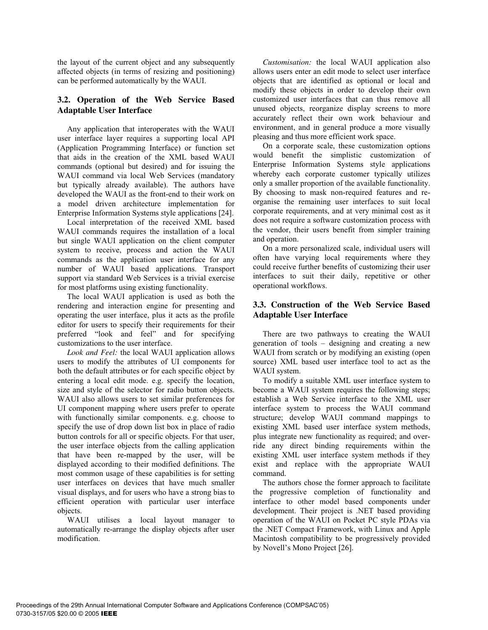the layout of the current object and any subsequently affected objects (in terms of resizing and positioning) can be performed automatically by the WAUI.

### **3.2. Operation of the Web Service Based Adaptable User Interface**

Any application that interoperates with the WAUI user interface layer requires a supporting local API (Application Programming Interface) or function set that aids in the creation of the XML based WAUI commands (optional but desired) and for issuing the WAUI command via local Web Services (mandatory but typically already available). The authors have developed the WAUI as the front-end to their work on a model driven architecture implementation for Enterprise Information Systems style applications [24].

Local interpretation of the received XML based WAUI commands requires the installation of a local but single WAUI application on the client computer system to receive, process and action the WAUI commands as the application user interface for any number of WAUI based applications. Transport support via standard Web Services is a trivial exercise for most platforms using existing functionality.

The local WAUI application is used as both the rendering and interaction engine for presenting and operating the user interface, plus it acts as the profile editor for users to specify their requirements for their preferred "look and feel" and for specifying customizations to the user interface.

*Look and Feel:* the local WAUI application allows users to modify the attributes of UI components for both the default attributes or for each specific object by entering a local edit mode. e.g. specify the location, size and style of the selector for radio button objects. WAUI also allows users to set similar preferences for UI component mapping where users prefer to operate with functionally similar components. e.g. choose to specify the use of drop down list box in place of radio button controls for all or specific objects. For that user, the user interface objects from the calling application that have been re-mapped by the user, will be displayed according to their modified definitions. The most common usage of these capabilities is for setting user interfaces on devices that have much smaller visual displays, and for users who have a strong bias to efficient operation with particular user interface objects.

WAUI utilises a local layout manager to automatically re-arrange the display objects after user modification.

*Customisation:* the local WAUI application also allows users enter an edit mode to select user interface objects that are identified as optional or local and modify these objects in order to develop their own customized user interfaces that can thus remove all unused objects, reorganize display screens to more accurately reflect their own work behaviour and environment, and in general produce a more visually pleasing and thus more efficient work space.

On a corporate scale, these customization options would benefit the simplistic customization of Enterprise Information Systems style applications whereby each corporate customer typically utilizes only a smaller proportion of the available functionality. By choosing to mask non-required features and reorganise the remaining user interfaces to suit local corporate requirements, and at very minimal cost as it does not require a software customization process with the vendor, their users benefit from simpler training and operation.

On a more personalized scale, individual users will often have varying local requirements where they could receive further benefits of customizing their user interfaces to suit their daily, repetitive or other operational workflows.

#### **3.3. Construction of the Web Service Based Adaptable User Interface**

There are two pathways to creating the WAUI generation of tools – designing and creating a new WAUI from scratch or by modifying an existing (open source) XML based user interface tool to act as the WAUI system.

To modify a suitable XML user interface system to become a WAUI system requires the following steps; establish a Web Service interface to the XML user interface system to process the WAUI command structure; develop WAUI command mappings to existing XML based user interface system methods, plus integrate new functionality as required; and override any direct binding requirements within the existing XML user interface system methods if they exist and replace with the appropriate WAUI command.

The authors chose the former approach to facilitate the progressive completion of functionality and interface to other model based components under development. Their project is .NET based providing operation of the WAUI on Pocket PC style PDAs via the .NET Compact Framework, with Linux and Apple Macintosh compatibility to be progressively provided by Novell's Mono Project [26].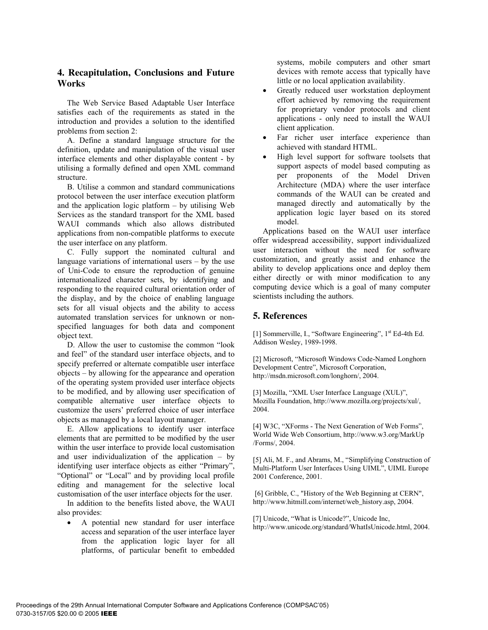## **4. Recapitulation, Conclusions and Future Works**

The Web Service Based Adaptable User Interface satisfies each of the requirements as stated in the introduction and provides a solution to the identified problems from section 2:

A. Define a standard language structure for the definition, update and manipulation of the visual user interface elements and other displayable content - by utilising a formally defined and open XML command structure.

B. Utilise a common and standard communications protocol between the user interface execution platform and the application logic platform  $-$  by utilising Web Services as the standard transport for the XML based WAUI commands which also allows distributed applications from non-compatible platforms to execute the user interface on any platform.

C. Fully support the nominated cultural and language variations of international users – by the use of Uni-Code to ensure the reproduction of genuine internationalized character sets, by identifying and responding to the required cultural orientation order of the display, and by the choice of enabling language sets for all visual objects and the ability to access automated translation services for unknown or nonspecified languages for both data and component object text.

D. Allow the user to customise the common "look and feel" of the standard user interface objects, and to specify preferred or alternate compatible user interface objects – by allowing for the appearance and operation of the operating system provided user interface objects to be modified, and by allowing user specification of compatible alternative user interface objects to customize the users' preferred choice of user interface objects as managed by a local layout manager.

E. Allow applications to identify user interface elements that are permitted to be modified by the user within the user interface to provide local customisation and user individualization of the application – by identifying user interface objects as either "Primary", "Optional" or "Local" and by providing local profile editing and management for the selective local customisation of the user interface objects for the user.

In addition to the benefits listed above, the WAUI also provides:

• A potential new standard for user interface access and separation of the user interface layer from the application logic layer for all platforms, of particular benefit to embedded

systems, mobile computers and other smart devices with remote access that typically have little or no local application availability.

- Greatly reduced user workstation deployment effort achieved by removing the requirement for proprietary vendor protocols and client applications - only need to install the WAUI client application.
- Far richer user interface experience than achieved with standard HTML.
- High level support for software toolsets that support aspects of model based computing as per proponents of the Model Driven Architecture (MDA) where the user interface commands of the WAUI can be created and managed directly and automatically by the application logic layer based on its stored model.

Applications based on the WAUI user interface offer widespread accessibility, support individualized user interaction without the need for software customization, and greatly assist and enhance the ability to develop applications once and deploy them either directly or with minor modification to any computing device which is a goal of many computer scientists including the authors.

### **5. References**

[1] Sommerville, I., "Software Engineering", 1<sup>st</sup> Ed-4th Ed. Addison Wesley, 1989-1998.

[2] Microsoft, "Microsoft Windows Code-Named Longhorn Development Centre", Microsoft Corporation, http://msdn.microsoft.com/longhorn/, 2004.

[3] Mozilla, "XML User Interface Language (XUL)", Mozilla Foundation, http://www.mozilla.org/projects/xul/, 2004.

[4] W3C, "XForms - The Next Generation of Web Forms", World Wide Web Consortium, http://www.w3.org/MarkUp /Forms/, 2004.

[5] Ali, M. F., and Abrams, M., "Simplifying Construction of Multi-Platform User Interfaces Using UIML", UIML Europe 2001 Conference, 2001.

 [6] Gribble, C., "History of the Web Beginning at CERN", http://www.hitmill.com/internet/web\_history.asp, 2004.

[7] Unicode, "What is Unicode?", Unicode Inc, http://www.unicode.org/standard/WhatIsUnicode.html, 2004.